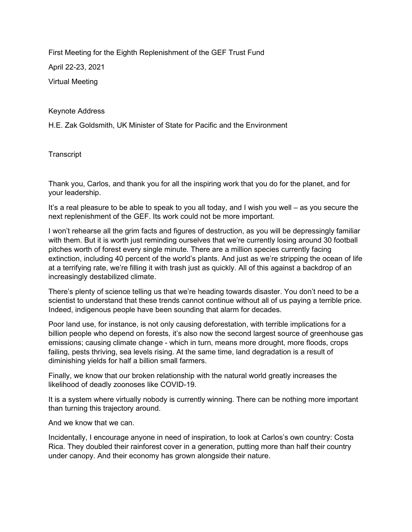First Meeting for the Eighth Replenishment of the GEF Trust Fund

April 22-23, 2021

Virtual Meeting

Keynote Address

H.E. Zak Goldsmith, UK Minister of State for Pacific and the Environment

**Transcript** 

Thank you, Carlos, and thank you for all the inspiring work that you do for the planet, and for your leadership.

It's a real pleasure to be able to speak to you all today, and I wish you well – as you secure the next replenishment of the GEF. Its work could not be more important.

I won't rehearse all the grim facts and figures of destruction, as you will be depressingly familiar with them. But it is worth just reminding ourselves that we're currently losing around 30 football pitches worth of forest every single minute. There are a million species currently facing extinction, including 40 percent of the world's plants. And just as we're stripping the ocean of life at a terrifying rate, we're filling it with trash just as quickly. All of this against a backdrop of an increasingly destabilized climate.

There's plenty of science telling us that we're heading towards disaster. You don't need to be a scientist to understand that these trends cannot continue without all of us paying a terrible price. Indeed, indigenous people have been sounding that alarm for decades.

Poor land use, for instance, is not only causing deforestation, with terrible implications for a billion people who depend on forests, it's also now the second largest source of greenhouse gas emissions; causing climate change - which in turn, means more drought, more floods, crops failing, pests thriving, sea levels rising. At the same time, land degradation is a result of diminishing yields for half a billion small farmers.

Finally, we know that our broken relationship with the natural world greatly increases the likelihood of deadly zoonoses like COVID-19.

It is a system where virtually nobody is currently winning. There can be nothing more important than turning this trajectory around.

And we know that we can.

Incidentally, I encourage anyone in need of inspiration, to look at Carlos's own country: Costa Rica. They doubled their rainforest cover in a generation, putting more than half their country under canopy. And their economy has grown alongside their nature.